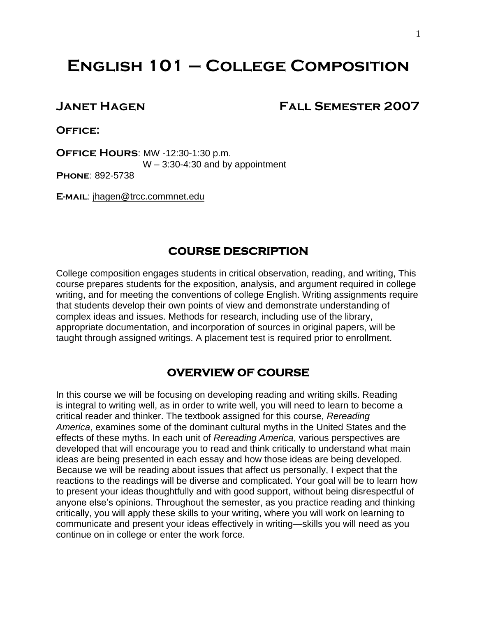# **English 101 – College Composition**

# **Janet Hagen Fall Semester 2007**

**Office:** 

**Office Hours**: MW -12:30-1:30 p.m.  $W - 3:30 - 4:30$  and by appointment

**Phone**: 892-5738

**E-mail**: jhagen@trcc.commnet.edu

# **COURSE DESCRIPTION**

College composition engages students in critical observation, reading, and writing, This course prepares students for the exposition, analysis, and argument required in college writing, and for meeting the conventions of college English. Writing assignments require that students develop their own points of view and demonstrate understanding of complex ideas and issues. Methods for research, including use of the library, appropriate documentation, and incorporation of sources in original papers, will be taught through assigned writings. A placement test is required prior to enrollment.

# **OVERVIEW OF COURSE**

In this course we will be focusing on developing reading and writing skills. Reading is integral to writing well, as in order to write well, you will need to learn to become a critical reader and thinker. The textbook assigned for this course, *Rereading America*, examines some of the dominant cultural myths in the United States and the effects of these myths. In each unit of *Rereading America*, various perspectives are developed that will encourage you to read and think critically to understand what main ideas are being presented in each essay and how those ideas are being developed. Because we will be reading about issues that affect us personally, I expect that the reactions to the readings will be diverse and complicated. Your goal will be to learn how to present your ideas thoughtfully and with good support, without being disrespectful of anyone else's opinions. Throughout the semester, as you practice reading and thinking critically, you will apply these skills to your writing, where you will work on learning to communicate and present your ideas effectively in writing—skills you will need as you continue on in college or enter the work force.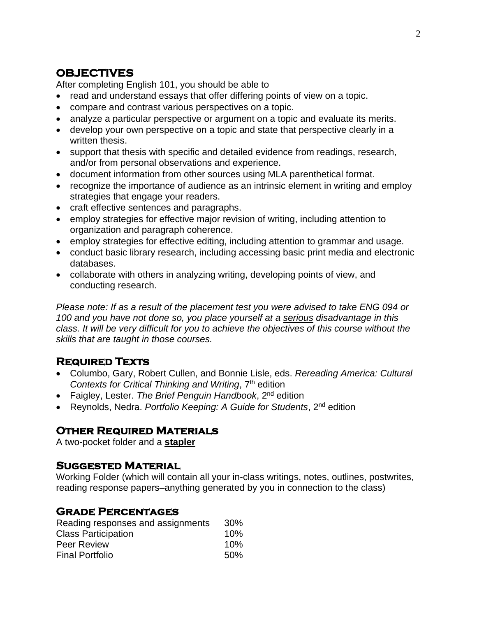# **OBJECTIVES**

After completing English 101, you should be able to

- read and understand essays that offer differing points of view on a topic.
- compare and contrast various perspectives on a topic.
- analyze a particular perspective or argument on a topic and evaluate its merits.
- develop your own perspective on a topic and state that perspective clearly in a written thesis.
- support that thesis with specific and detailed evidence from readings, research, and/or from personal observations and experience.
- document information from other sources using MLA parenthetical format.
- recognize the importance of audience as an intrinsic element in writing and employ strategies that engage your readers.
- craft effective sentences and paragraphs.
- employ strategies for effective major revision of writing, including attention to organization and paragraph coherence.
- employ strategies for effective editing, including attention to grammar and usage.
- conduct basic library research, including accessing basic print media and electronic databases.
- collaborate with others in analyzing writing, developing points of view, and conducting research.

*Please note: If as a result of the placement test you were advised to take ENG 094 or 100 and you have not done so, you place yourself at a serious disadvantage in this class. It will be very difficult for you to achieve the objectives of this course without the skills that are taught in those courses.* 

# **Required Texts**

- Columbo, Gary, Robert Cullen, and Bonnie Lisle, eds. *Rereading America: Cultural Contexts for Critical Thinking and Writing*, 7th edition
- Faigley, Lester. *The Brief Penguin Handbook*, 2nd edition
- Reynolds, Nedra. *Portfolio Keeping: A Guide for Students*, 2nd edition

# **Other Required Materials**

A two-pocket folder and a **stapler**

# **Suggested Material**

Working Folder (which will contain all your in-class writings, notes, outlines, postwrites, reading response papers–anything generated by you in connection to the class)

# **Grade Percentages**

| Reading responses and assignments | 30% |
|-----------------------------------|-----|
| <b>Class Participation</b>        | 10% |
| <b>Peer Review</b>                | 10% |
| <b>Final Portfolio</b>            | 50% |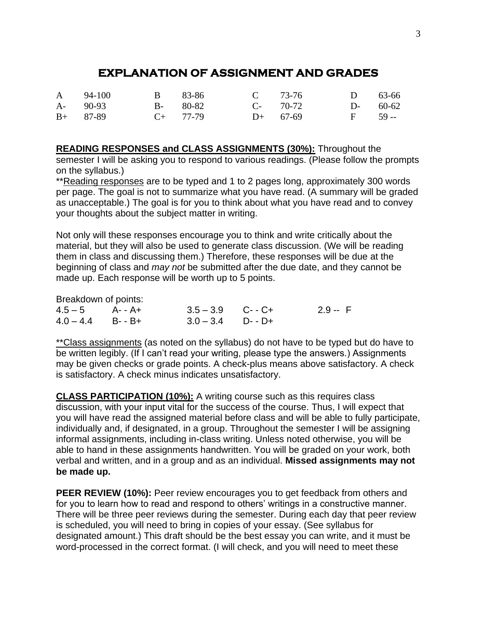# **EXPLANATION OF ASSIGNMENT AND GRADES**

|            | A 94-100    | B 83-86       | C $73-76$  | $D = 63-66$ |  |
|------------|-------------|---------------|------------|-------------|--|
|            | $A - 90-93$ | $B-80-82$     | $C-70-72$  | $D-60-62$   |  |
| $B+ 87-89$ |             | $C_{+}$ 77-79 | $D+ 67-69$ | $F = 59 -$  |  |

**READING RESPONSES and CLASS ASSIGNMENTS (30%):** Throughout the semester I will be asking you to respond to various readings. (Please follow the prompts on the syllabus.)

\*\*Reading responses are to be typed and 1 to 2 pages long, approximately 300 words per page. The goal is not to summarize what you have read. (A summary will be graded as unacceptable.) The goal is for you to think about what you have read and to convey your thoughts about the subject matter in writing.

Not only will these responses encourage you to think and write critically about the material, but they will also be used to generate class discussion. (We will be reading them in class and discussing them.) Therefore, these responses will be due at the beginning of class and *may not* be submitted after the due date, and they cannot be made up. Each response will be worth up to 5 points.

Breakdown of points:

| $4.5 - 5$ $A - A +$ | $3.5 - 3.9$ C--C+ | $2.9 - F$ |
|---------------------|-------------------|-----------|
| $4.0 - 4.4$ B--B+   | $3.0 - 3.4$ D--D+ |           |

\*\*Class assignments (as noted on the syllabus) do not have to be typed but do have to be written legibly. (If I can't read your writing, please type the answers.) Assignments may be given checks or grade points. A check-plus means above satisfactory. A check is satisfactory. A check minus indicates unsatisfactory.

**CLASS PARTICIPATION (10%):** A writing course such as this requires class discussion, with your input vital for the success of the course. Thus, I will expect that you will have read the assigned material before class and will be able to fully participate, individually and, if designated, in a group. Throughout the semester I will be assigning informal assignments, including in-class writing. Unless noted otherwise, you will be able to hand in these assignments handwritten. You will be graded on your work, both verbal and written, and in a group and as an individual. **Missed assignments may not be made up.**

**PEER REVIEW (10%):** Peer review encourages you to get feedback from others and for you to learn how to read and respond to others' writings in a constructive manner. There will be three peer reviews during the semester. During each day that peer review is scheduled, you will need to bring in copies of your essay. (See syllabus for designated amount.) This draft should be the best essay you can write, and it must be word-processed in the correct format. (I will check, and you will need to meet these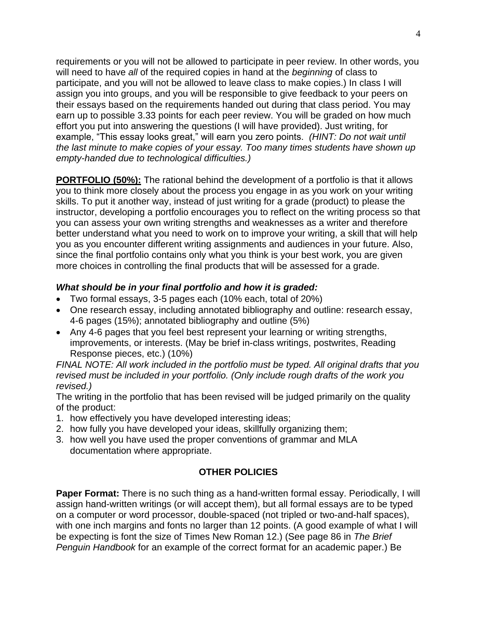requirements or you will not be allowed to participate in peer review. In other words, you will need to have *all* of the required copies in hand at the *beginning* of class to participate, and you will not be allowed to leave class to make copies.) In class I will assign you into groups, and you will be responsible to give feedback to your peers on their essays based on the requirements handed out during that class period. You may earn up to possible 3.33 points for each peer review. You will be graded on how much effort you put into answering the questions (I will have provided). Just writing, for example, "This essay looks great," will earn you zero points. *(HINT: Do not wait until the last minute to make copies of your essay. Too many times students have shown up empty-handed due to technological difficulties.)*

**PORTFOLIO (50%):** The rational behind the development of a portfolio is that it allows you to think more closely about the process you engage in as you work on your writing skills. To put it another way, instead of just writing for a grade (product) to please the instructor, developing a portfolio encourages you to reflect on the writing process so that you can assess your own writing strengths and weaknesses as a writer and therefore better understand what you need to work on to improve your writing, a skill that will help you as you encounter different writing assignments and audiences in your future. Also, since the final portfolio contains only what you think is your best work, you are given more choices in controlling the final products that will be assessed for a grade.

# *What should be in your final portfolio and how it is graded:*

- Two formal essays, 3-5 pages each (10% each, total of 20%)
- One research essay, including annotated bibliography and outline: research essay, 4-6 pages (15%); annotated bibliography and outline (5%)
- Any 4-6 pages that you feel best represent your learning or writing strengths, improvements, or interests. (May be brief in-class writings, postwrites, Reading Response pieces, etc.) (10%)

*FINAL NOTE: All work included in the portfolio must be typed. All original drafts that you revised must be included in your portfolio. (Only include rough drafts of the work you revised.)*

The writing in the portfolio that has been revised will be judged primarily on the quality of the product:

- 1. how effectively you have developed interesting ideas;
- 2. how fully you have developed your ideas, skillfully organizing them;
- 3. how well you have used the proper conventions of grammar and MLA documentation where appropriate.

# **OTHER POLICIES**

**Paper Format:** There is no such thing as a hand-written formal essay. Periodically, I will assign hand-written writings (or will accept them), but all formal essays are to be typed on a computer or word processor, double-spaced (not tripled or two-and-half spaces), with one inch margins and fonts no larger than 12 points. (A good example of what I will be expecting is font the size of Times New Roman 12.) (See page 86 in *The Brief Penguin Handbook* for an example of the correct format for an academic paper.) Be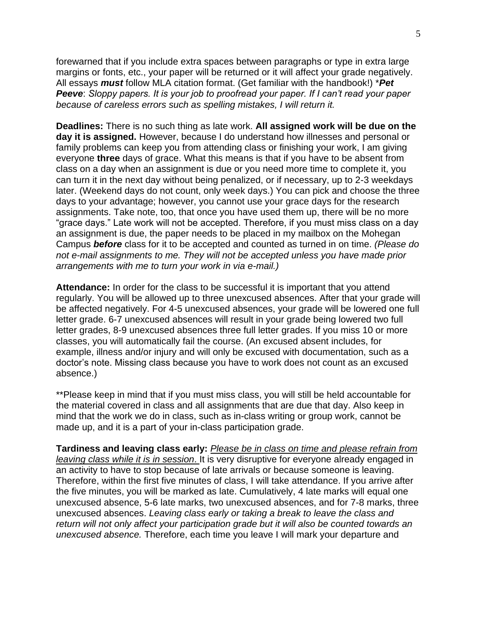forewarned that if you include extra spaces between paragraphs or type in extra large margins or fonts, etc., your paper will be returned or it will affect your grade negatively. All essays *must* follow MLA citation format. (Get familiar with the handbook!) \**Pet Peeve*: *Sloppy papers. It is your job to proofread your paper. If I can't read your paper because of careless errors such as spelling mistakes, I will return it.* 

**Deadlines:** There is no such thing as late work. **All assigned work will be due on the day it is assigned.** However, because I do understand how illnesses and personal or family problems can keep you from attending class or finishing your work, I am giving everyone **three** days of grace. What this means is that if you have to be absent from class on a day when an assignment is due or you need more time to complete it, you can turn it in the next day without being penalized, or if necessary, up to 2-3 weekdays later. (Weekend days do not count, only week days.) You can pick and choose the three days to your advantage; however, you cannot use your grace days for the research assignments. Take note, too, that once you have used them up, there will be no more "grace days." Late work will not be accepted. Therefore, if you must miss class on a day an assignment is due, the paper needs to be placed in my mailbox on the Mohegan Campus *before* class for it to be accepted and counted as turned in on time. *(Please do not e-mail assignments to me. They will not be accepted unless you have made prior arrangements with me to turn your work in via e-mail.)*

**Attendance:** In order for the class to be successful it is important that you attend regularly. You will be allowed up to three unexcused absences. After that your grade will be affected negatively. For 4-5 unexcused absences, your grade will be lowered one full letter grade. 6-7 unexcused absences will result in your grade being lowered two full letter grades, 8-9 unexcused absences three full letter grades. If you miss 10 or more classes, you will automatically fail the course. (An excused absent includes, for example, illness and/or injury and will only be excused with documentation, such as a doctor's note. Missing class because you have to work does not count as an excused absence.)

\*\*Please keep in mind that if you must miss class, you will still be held accountable for the material covered in class and all assignments that are due that day. Also keep in mind that the work we do in class, such as in-class writing or group work, cannot be made up, and it is a part of your in-class participation grade.

**Tardiness and leaving class early:** *Please be in class on time and please refrain from leaving class while it is in session*. It is very disruptive for everyone already engaged in an activity to have to stop because of late arrivals or because someone is leaving. Therefore, within the first five minutes of class, I will take attendance. If you arrive after the five minutes, you will be marked as late. Cumulatively, 4 late marks will equal one unexcused absence, 5-6 late marks, two unexcused absences, and for 7-8 marks, three unexcused absences. *Leaving class early or taking a break to leave the class and return will not only affect your participation grade but it will also be counted towards an unexcused absence.* Therefore, each time you leave I will mark your departure and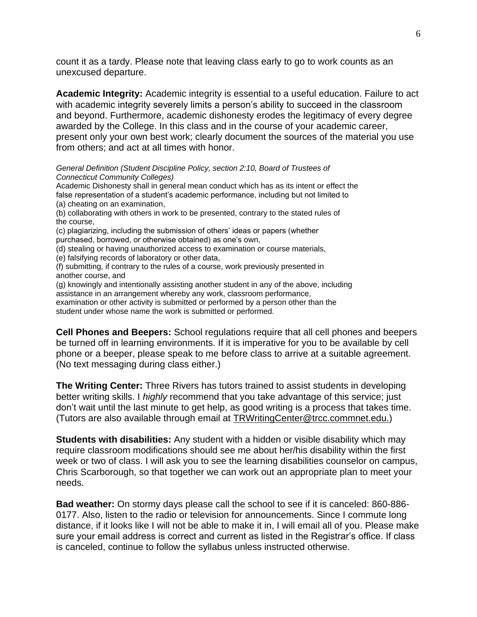count it as a tardy. Please note that leaving class early to go to work counts as an unexcused departure.

**Academic Integrity:** Academic integrity is essential to a useful education. Failure to act with academic integrity severely limits a person's ability to succeed in the classroom and beyond. Furthermore, academic dishonesty erodes the legitimacy of every degree awarded by the College. In this class and in the course of your academic career, present only your own best work; clearly document the sources of the material you use from others; and act at all times with honor.

*General Definition (Student Discipline Policy, section 2:10, Board of Trustees of Connecticut Community Colleges)*

Academic Dishonesty shall in general mean conduct which has as its intent or effect the false representation of a student's academic performance, including but not limited to (a) cheating on an examination,

(b) collaborating with others in work to be presented, contrary to the stated rules of the course,

(c) plagiarizing, including the submission of others' ideas or papers (whether

purchased, borrowed, or otherwise obtained) as one's own,

(d) stealing or having unauthorized access to examination or course materials,

(e) falsifying records of laboratory or other data,

(f) submitting, if contrary to the rules of a course, work previously presented in another course, and

(g) knowingly and intentionally assisting another student in any of the above, including assistance in an arrangement whereby any work, classroom performance, examination or other activity is submitted or performed by a person other than the student under whose name the work is submitted or performed.

**Cell Phones and Beepers:** School regulations require that all cell phones and beepers be turned off in learning environments. If it is imperative for you to be available by cell phone or a beeper, please speak to me before class to arrive at a suitable agreement. (No text messaging during class either.)

**The Writing Center:** Three Rivers has tutors trained to assist students in developing better writing skills. I *highly* recommend that you take advantage of this service; just don't wait until the last minute to get help, as good writing is a process that takes time. (Tutors are also available through email at [TRWritingCenter@trcc.commnet.edu.\)](mailto:TRWritingCenter@trcc.commnet.edu.)

**Students with disabilities:** Any student with a hidden or visible disability which may require classroom modifications should see me about her/his disability within the first week or two of class. I will ask you to see the learning disabilities counselor on campus, Chris Scarborough, so that together we can work out an appropriate plan to meet your needs.

**Bad weather:** On stormy days please call the school to see if it is canceled: 860-886- 0177. Also, listen to the radio or television for announcements. Since I commute long distance, if it looks like I will not be able to make it in, I will email all of you. Please make sure your email address is correct and current as listed in the Registrar's office. If class is canceled, continue to follow the syllabus unless instructed otherwise.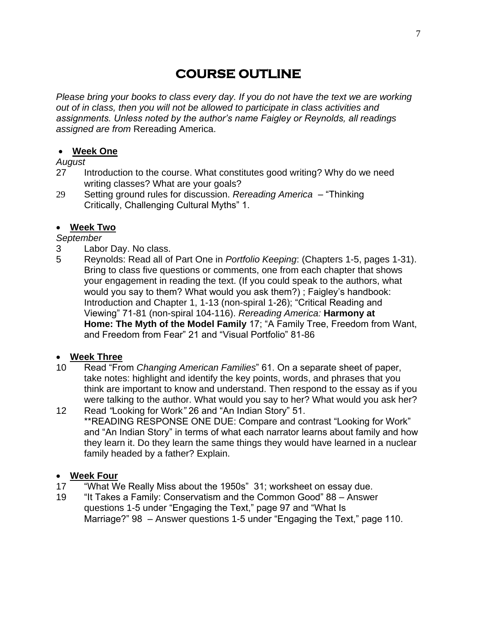# **COURSE OUTLINE**

*Please bring your books to class every day. If you do not have the text we are working out of in class, then you will not be allowed to participate in class activities and assignments. Unless noted by the author's name Faigley or Reynolds, all readings assigned are from* Rereading America.

#### **Week One**

*August*

- 27 Introduction to the course. What constitutes good writing? Why do we need writing classes? What are your goals?
- 29 Setting ground rules for discussion. *Rereading America*  "Thinking Critically, Challenging Cultural Myths" 1.

#### **Week Two**

#### *September*

- 3 Labor Day. No class.
- 5 Reynolds: Read all of Part One in *Portfolio Keeping*: (Chapters 1-5, pages 1-31). Bring to class five questions or comments, one from each chapter that shows your engagement in reading the text. (If you could speak to the authors, what would you say to them? What would you ask them?) ; Faigley's handbook: Introduction and Chapter 1, 1-13 (non-spiral 1-26); "Critical Reading and Viewing" 71-81 (non-spiral 104-116). *Rereading America:* **Harmony at Home: The Myth of the Model Family** 17; "A Family Tree, Freedom from Want, and Freedom from Fear" 21 and "Visual Portfolio" 81-86

# **Week Three**

- 10 Read "From *Changing American Families*" 61. On a separate sheet of paper, take notes: highlight and identify the key points, words, and phrases that you think are important to know and understand. Then respond to the essay as if you were talking to the author. What would you say to her? What would you ask her?
- 12 Read *"*Looking for Work*"* 26 and "An Indian Story" 51. \*\*READING RESPONSE ONE DUE: Compare and contrast "Looking for Work" and "An Indian Story" in terms of what each narrator learns about family and how they learn it. Do they learn the same things they would have learned in a nuclear family headed by a father? Explain.

#### **Week Four**

- 17 "What We Really Miss about the 1950s" 31; worksheet on essay due.
- 19 "It Takes a Family: Conservatism and the Common Good" 88 Answer questions 1-5 under "Engaging the Text," page 97 and "What Is Marriage?" 98 – Answer questions 1-5 under "Engaging the Text," page 110.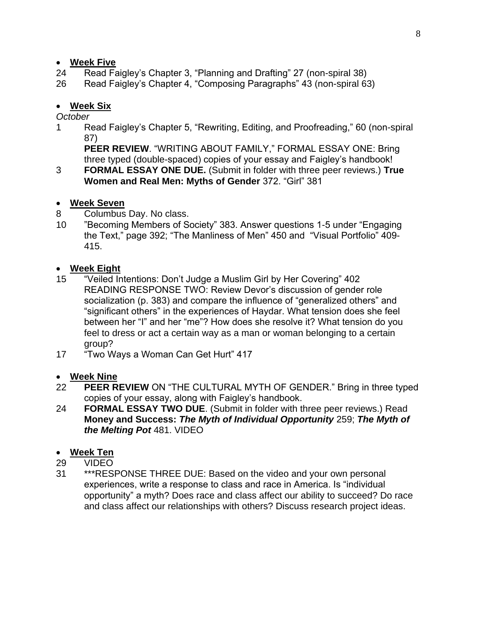# **Week Five**

- 24 Read Faigley's Chapter 3, "Planning and Drafting" 27 (non-spiral 38)
- 26 Read Faigley's Chapter 4, "Composing Paragraphs" 43 (non-spiral 63)

# **Week Six**

#### *October*

1 Read Faigley's Chapter 5, "Rewriting, Editing, and Proofreading," 60 (non-spiral 87)

**PEER REVIEW**. "WRITING ABOUT FAMILY," FORMAL ESSAY ONE: Bring three typed (double-spaced) copies of your essay and Faigley's handbook!

3 **FORMAL ESSAY ONE DUE.** (Submit in folder with three peer reviews.) **True Women and Real Men: Myths of Gender** 372. "Girl" 381

#### **Week Seven**

- 8 Columbus Day. No class.
- 10 "Becoming Members of Society" 383. Answer questions 1-5 under "Engaging the Text," page 392; "The Manliness of Men" 450 and "Visual Portfolio" 409- 415.

# **Week Eight**

- 15 "Veiled Intentions: Don't Judge a Muslim Girl by Her Covering" 402 READING RESPONSE TWO: Review Devor's discussion of gender role socialization (p. 383) and compare the influence of "generalized others" and "significant others" in the experiences of Haydar. What tension does she feel between her "I" and her "me"? How does she resolve it? What tension do you feel to dress or act a certain way as a man or woman belonging to a certain group?
- 17 "Two Ways a Woman Can Get Hurt" 417

# **Week Nine**

- 22 **PEER REVIEW** ON "THE CULTURAL MYTH OF GENDER." Bring in three typed copies of your essay, along with Faigley's handbook.
- 24 **FORMAL ESSAY TWO DUE**. (Submit in folder with three peer reviews.) Read **Money and Success:** *The Myth of Individual Opportunity* 259; *The Myth of the Melting Pot* 481. VIDEO

#### **Week Ten**

- 29 VIDEO
- 31 \*\*\*RESPONSE THREE DUE: Based on the video and your own personal experiences, write a response to class and race in America. Is "individual opportunity" a myth? Does race and class affect our ability to succeed? Do race and class affect our relationships with others? Discuss research project ideas.